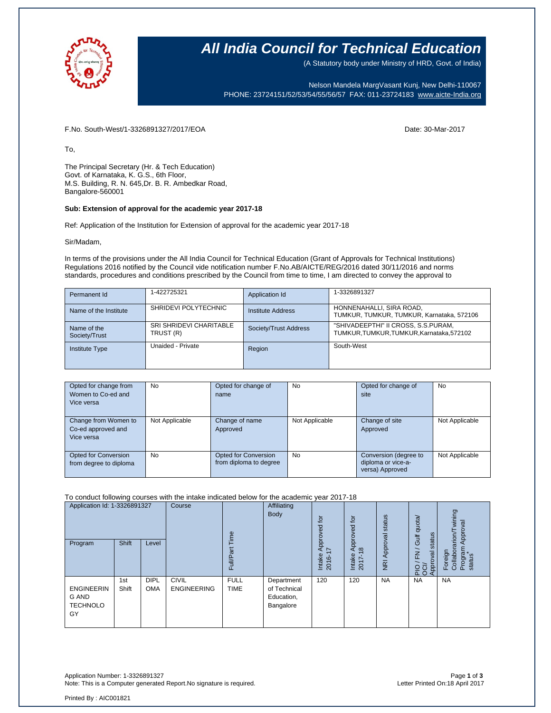

### **All India Council for Technical Education**

(A Statutory body under Ministry of HRD, Govt. of India)

Nelson Mandela MargVasant Kunj, New Delhi-110067 PHONE: 23724151/52/53/54/55/56/57 FAX: 011-23724183 [www.aicte-India.org](http://www.aicte-india.org/)

F.No. South-West/1-3326891327/2017/EOA Date: 30-Mar-2017

To,

The Principal Secretary (Hr. & Tech Education) Govt. of Karnataka, K. G.S., 6th Floor, M.S. Building, R. N. 645,Dr. B. R. Ambedkar Road, Bangalore-560001

#### **Sub: Extension of approval for the academic year 2017-18**

Ref: Application of the Institution for Extension of approval for the academic year 2017-18

Sir/Madam,

In terms of the provisions under the All India Council for Technical Education (Grant of Approvals for Technical Institutions) Regulations 2016 notified by the Council vide notification number F.No.AB/AICTE/REG/2016 dated 30/11/2016 and norms standards, procedures and conditions prescribed by the Council from time to time, I am directed to convey the approval to

| Permanent Id                 | 1-422725321                                 | Application Id        | 1-3326891327                                                                 |
|------------------------------|---------------------------------------------|-----------------------|------------------------------------------------------------------------------|
| Name of the Institute        | SHRIDEVI POLYTECHNIC                        | Institute Address     | HONNENAHALLI, SIRA ROAD,<br>TUMKUR, TUMKUR, TUMKUR, Karnataka, 572106        |
| Name of the<br>Society/Trust | <b>SRI SHRIDEVI CHARITABLE</b><br>TRUST (R) | Society/Trust Address | "SHIVADEEPTHI" II CROSS, S.S.PURAM,<br>TUMKUR.TUMKUR.TUMKUR.Karnataka.572102 |
| <b>Institute Type</b>        | Unaided - Private                           | Region                | South-West                                                                   |

| Opted for change from<br>Women to Co-ed and<br>Vice versa | <b>No</b>      | Opted for change of<br>name                    | No             | Opted for change of<br>site                                    | No             |
|-----------------------------------------------------------|----------------|------------------------------------------------|----------------|----------------------------------------------------------------|----------------|
| Change from Women to<br>Co-ed approved and<br>Vice versa  | Not Applicable | Change of name<br>Approved                     | Not Applicable | Change of site<br>Approved                                     | Not Applicable |
| Opted for Conversion<br>from degree to diploma            | <b>No</b>      | Opted for Conversion<br>from diploma to degree | No             | Conversion (degree to<br>diploma or vice-a-<br>versa) Approved | Not Applicable |

### To conduct following courses with the intake indicated below for the academic year 2017-18

| Application Id: 1-3326891327<br>Program             | Shift        | Level                     | Course                             | Time<br><b>Full/Part</b>   | Affiliating<br><b>Body</b>                            | tor<br>꿈<br>š<br>ĀPI<br>7<br>Intake<br>2016-1 | $\overline{a}$<br>공<br>ë<br>ā<br>$\infty$<br>⋖<br>Intake<br>2017- | status<br>Approval<br>$\overline{g}$ | Gulf quota/<br>status<br>$\geq$<br>Approval<br>$\frac{5}{20}$ | wining<br>Approval<br>$r$ arion $\pi$<br>Program<br>status<br>Collabor<br>Foreign |
|-----------------------------------------------------|--------------|---------------------------|------------------------------------|----------------------------|-------------------------------------------------------|-----------------------------------------------|-------------------------------------------------------------------|--------------------------------------|---------------------------------------------------------------|-----------------------------------------------------------------------------------|
| <b>ENGINEERIN</b><br>G AND<br><b>TECHNOLO</b><br>GY | 1st<br>Shift | <b>DIPL</b><br><b>OMA</b> | <b>CIVIL</b><br><b>ENGINEERING</b> | <b>FULL</b><br><b>TIME</b> | Department<br>of Technical<br>Education,<br>Bangalore | 120                                           | 120                                                               | <b>NA</b>                            | <b>NA</b>                                                     | <b>NA</b>                                                                         |

Application Number: 1-3326891327 Page **1** of **3** Note: This is a Computer generated Report.No signature is required.

Printed By : AIC001821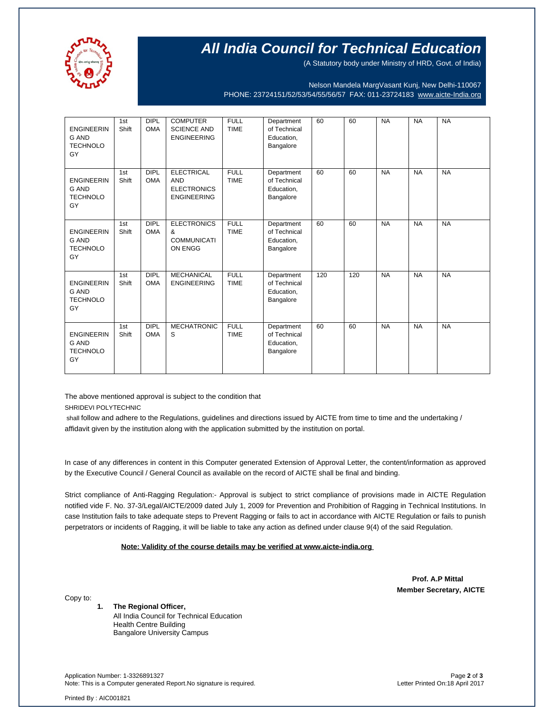

# **All India Council for Technical Education**

(A Statutory body under Ministry of HRD, Govt. of India)

Nelson Mandela MargVasant Kunj, New Delhi-110067 PHONE: 23724151/52/53/54/55/56/57 FAX: 011-23724183 [www.aicte-India.org](http://www.aicte-india.org/)

| <b>ENGINEERIN</b><br><b>G AND</b><br><b>TECHNOLO</b><br>GY | 1st<br>Shift | <b>DIPL</b><br><b>OMA</b> | <b>COMPUTER</b><br><b>SCIENCE AND</b><br><b>ENGINEERING</b>                 | <b>FULL</b><br><b>TIME</b> | Department<br>of Technical<br>Education,<br>Bangalore | 60  | 60  | <b>NA</b> | <b>NA</b> | <b>NA</b> |
|------------------------------------------------------------|--------------|---------------------------|-----------------------------------------------------------------------------|----------------------------|-------------------------------------------------------|-----|-----|-----------|-----------|-----------|
| <b>ENGINEERIN</b><br><b>G AND</b><br><b>TECHNOLO</b><br>GY | 1st<br>Shift | DIPL<br><b>OMA</b>        | <b>ELECTRICAL</b><br><b>AND</b><br><b>ELECTRONICS</b><br><b>ENGINEERING</b> | <b>FULL</b><br><b>TIME</b> | Department<br>of Technical<br>Education,<br>Bangalore | 60  | 60  | <b>NA</b> | <b>NA</b> | <b>NA</b> |
| <b>ENGINEERIN</b><br><b>G AND</b><br><b>TECHNOLO</b><br>GY | 1st<br>Shift | <b>DIPL</b><br><b>OMA</b> | <b>ELECTRONICS</b><br>&<br><b>COMMUNICATI</b><br>ON ENGG                    | <b>FULL</b><br><b>TIME</b> | Department<br>of Technical<br>Education,<br>Bangalore | 60  | 60  | <b>NA</b> | <b>NA</b> | <b>NA</b> |
| <b>ENGINEERIN</b><br><b>G AND</b><br><b>TECHNOLO</b><br>GY | 1st<br>Shift | <b>DIPL</b><br><b>OMA</b> | <b>MECHANICAL</b><br><b>ENGINEERING</b>                                     | <b>FULL</b><br><b>TIME</b> | Department<br>of Technical<br>Education,<br>Bangalore | 120 | 120 | <b>NA</b> | <b>NA</b> | <b>NA</b> |
| <b>ENGINEERIN</b><br><b>G AND</b><br><b>TECHNOLO</b><br>GY | 1st<br>Shift | <b>DIPL</b><br><b>OMA</b> | <b>MECHATRONIC</b><br>S                                                     | <b>FULL</b><br><b>TIME</b> | Department<br>of Technical<br>Education,<br>Bangalore | 60  | 60  | <b>NA</b> | <b>NA</b> | <b>NA</b> |

The above mentioned approval is subject to the condition that SHRIDEVI POLYTECHNIC

shall follow and adhere to the Regulations, guidelines and directions issued by AICTE from time to time and the undertaking / affidavit given by the institution along with the application submitted by the institution on portal.

In case of any differences in content in this Computer generated Extension of Approval Letter, the content/information as approved by the Executive Council / General Council as available on the record of AICTE shall be final and binding.

Strict compliance of Anti-Ragging Regulation:- Approval is subject to strict compliance of provisions made in AICTE Regulation notified vide F. No. 37-3/Legal/AICTE/2009 dated July 1, 2009 for Prevention and Prohibition of Ragging in Technical Institutions. In case Institution fails to take adequate steps to Prevent Ragging or fails to act in accordance with AICTE Regulation or fails to punish perpetrators or incidents of Ragging, it will be liable to take any action as defined under clause 9(4) of the said Regulation.

 **Note: Validity of the course details may be verified at www.aicte-india.org** 

 **Prof. A.P Mittal Member Secretary, AICTE**

Copy to:

**1. The Regional Officer,**

All India Council for Technical Education Health Centre Building Bangalore University Campus

Application Number: 1-3326891327 Page **2** of **3** Note: This is a Computer generated Report.No signature is required.

Printed By : AIC001821